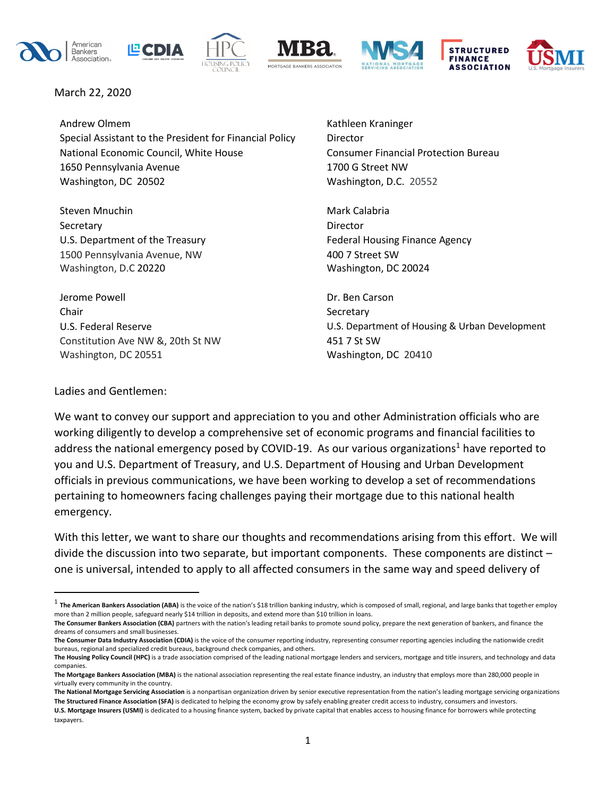











March 22, 2020

Andrew Olmem **Kathleen Kraninger** Kathleen Kraninger Special Assistant to the President for Financial Policy Director National Economic Council, White House Consumer Financial Protection Bureau 1650 Pennsylvania Avenue 1700 G Street NW Washington, DC 20502 **Washington, D.C. 20552** 

Steven Mnuchin Mark Calabria Secretary **Director** U.S. Department of the Treasury Federal Housing Finance Agency 1500 Pennsylvania Avenue, NW 400 7 Street SW Washington, D.C 20220 Washington, DC 20024

Jerome Powell Dr. Ben Carson Chair Secretary Chair Secretary Secretary Secretary Secretary Constitution Ave NW &, 20th St NW 451 7 St SW Washington, DC 20551 Washington, DC 20410

U.S. Federal Reserve **The Community Community** U.S. Department of Housing & Urban Development

### Ladies and Gentlemen:

We want to convey our support and appreciation to you and other Administration officials who are working diligently to develop a comprehensive set of economic programs and financial facilities to address the national emergency posed by COVID-19. As our various organizations<sup>1</sup> have reported to you and U.S. Department of Treasury, and U.S. Department of Housing and Urban Development officials in previous communications, we have been working to develop a set of recommendations pertaining to homeowners facing challenges paying their mortgage due to this national health emergency.

With this letter, we want to share our thoughts and recommendations arising from this effort. We will divide the discussion into two separate, but important components. These components are distinct – one is universal, intended to apply to all affected consumers in the same way and speed delivery of

<sup>&</sup>lt;sup>1</sup> The American Bankers Association (ABA) is the voice of the nation's \$18 trillion banking industry, which is composed of small, regional, and large banks that together employ more than 2 million people, safeguard nearly \$14 trillion in deposits, and extend more than \$10 trillion in loans.

**The Consumer Bankers Association (CBA)** partners with the nation's leading retail banks to promote sound policy, prepare the next generation of bankers, and finance the dreams of consumers and small businesses.

**The Consumer Data Industry Association (CDIA)** is the voice of the consumer reporting industry, representing consumer reporting agencies including the nationwide credit bureaus, regional and specialized credit bureaus, background check companies, and others.

The Housing Policy Council (HPC) is a trade association comprised of the leading national mortgage lenders and servicers, mortgage and title insurers, and technology and data companies.

**The Mortgage Bankers Association (MBA)** is the national association representing the real estate finance industry, an industry that employs more than 280,000 people in virtually every community in the country.

**The National Mortgage Servicing Association** is a nonpartisan organization driven by senior executive representation from the nation's leading mortgage servicing organizations **The Structured Finance Association (SFA)** is dedicated to helping the economy grow by safely enabling greater credit access to industry, consumers and investors.

**U.S. Mortgage Insurers (USMI)** is dedicated to a housing finance system, backed by private capital that enables access to housing finance for borrowers while protecting taxpayers.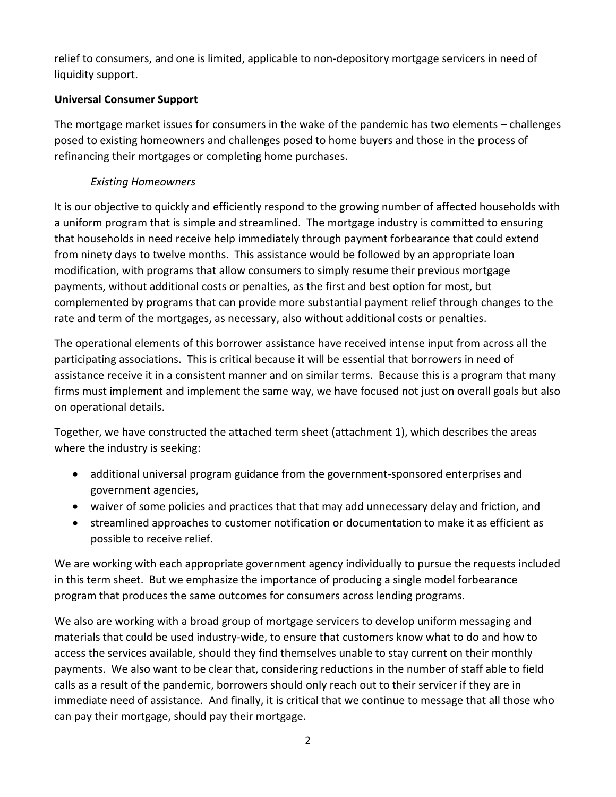relief to consumers, and one is limited, applicable to non-depository mortgage servicers in need of liquidity support.

# **Universal Consumer Support**

The mortgage market issues for consumers in the wake of the pandemic has two elements – challenges posed to existing homeowners and challenges posed to home buyers and those in the process of refinancing their mortgages or completing home purchases.

# *Existing Homeowners*

It is our objective to quickly and efficiently respond to the growing number of affected households with a uniform program that is simple and streamlined. The mortgage industry is committed to ensuring that households in need receive help immediately through payment forbearance that could extend from ninety days to twelve months. This assistance would be followed by an appropriate loan modification, with programs that allow consumers to simply resume their previous mortgage payments, without additional costs or penalties, as the first and best option for most, but complemented by programs that can provide more substantial payment relief through changes to the rate and term of the mortgages, as necessary, also without additional costs or penalties.

The operational elements of this borrower assistance have received intense input from across all the participating associations. This is critical because it will be essential that borrowers in need of assistance receive it in a consistent manner and on similar terms. Because this is a program that many firms must implement and implement the same way, we have focused not just on overall goals but also on operational details.

Together, we have constructed the attached term sheet (attachment 1), which describes the areas where the industry is seeking:

- additional universal program guidance from the government-sponsored enterprises and government agencies,
- waiver of some policies and practices that that may add unnecessary delay and friction, and
- streamlined approaches to customer notification or documentation to make it as efficient as possible to receive relief.

We are working with each appropriate government agency individually to pursue the requests included in this term sheet. But we emphasize the importance of producing a single model forbearance program that produces the same outcomes for consumers across lending programs.

We also are working with a broad group of mortgage servicers to develop uniform messaging and materials that could be used industry-wide, to ensure that customers know what to do and how to access the services available, should they find themselves unable to stay current on their monthly payments. We also want to be clear that, considering reductions in the number of staff able to field calls as a result of the pandemic, borrowers should only reach out to their servicer if they are in immediate need of assistance. And finally, it is critical that we continue to message that all those who can pay their mortgage, should pay their mortgage.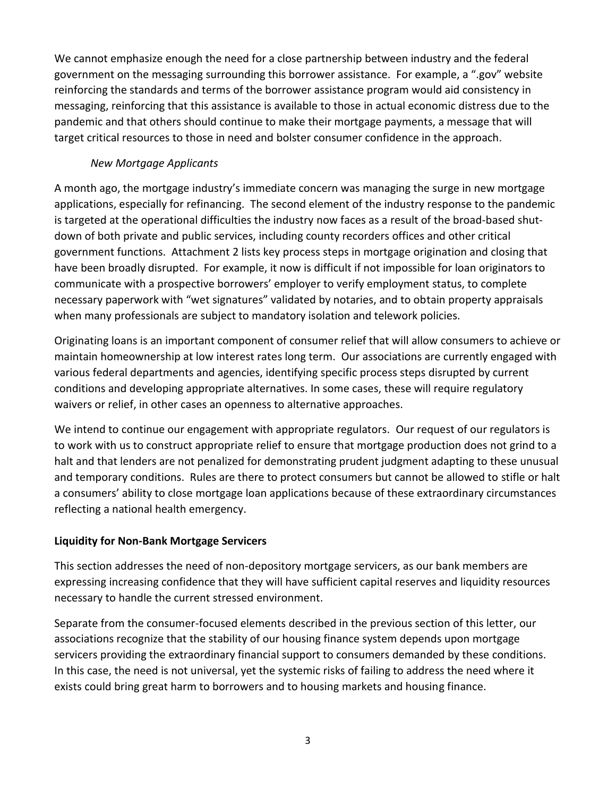We cannot emphasize enough the need for a close partnership between industry and the federal government on the messaging surrounding this borrower assistance. For example, a ".gov" website reinforcing the standards and terms of the borrower assistance program would aid consistency in messaging, reinforcing that this assistance is available to those in actual economic distress due to the pandemic and that others should continue to make their mortgage payments, a message that will target critical resources to those in need and bolster consumer confidence in the approach.

# *New Mortgage Applicants*

A month ago, the mortgage industry's immediate concern was managing the surge in new mortgage applications, especially for refinancing. The second element of the industry response to the pandemic is targeted at the operational difficulties the industry now faces as a result of the broad-based shutdown of both private and public services, including county recorders offices and other critical government functions. Attachment 2 lists key process steps in mortgage origination and closing that have been broadly disrupted. For example, it now is difficult if not impossible for loan originators to communicate with a prospective borrowers' employer to verify employment status, to complete necessary paperwork with "wet signatures" validated by notaries, and to obtain property appraisals when many professionals are subject to mandatory isolation and telework policies.

Originating loans is an important component of consumer relief that will allow consumers to achieve or maintain homeownership at low interest rates long term. Our associations are currently engaged with various federal departments and agencies, identifying specific process steps disrupted by current conditions and developing appropriate alternatives. In some cases, these will require regulatory waivers or relief, in other cases an openness to alternative approaches.

We intend to continue our engagement with appropriate regulators. Our request of our regulators is to work with us to construct appropriate relief to ensure that mortgage production does not grind to a halt and that lenders are not penalized for demonstrating prudent judgment adapting to these unusual and temporary conditions. Rules are there to protect consumers but cannot be allowed to stifle or halt a consumers' ability to close mortgage loan applications because of these extraordinary circumstances reflecting a national health emergency.

# **Liquidity for Non-Bank Mortgage Servicers**

This section addresses the need of non-depository mortgage servicers, as our bank members are expressing increasing confidence that they will have sufficient capital reserves and liquidity resources necessary to handle the current stressed environment.

Separate from the consumer-focused elements described in the previous section of this letter, our associations recognize that the stability of our housing finance system depends upon mortgage servicers providing the extraordinary financial support to consumers demanded by these conditions. In this case, the need is not universal, yet the systemic risks of failing to address the need where it exists could bring great harm to borrowers and to housing markets and housing finance.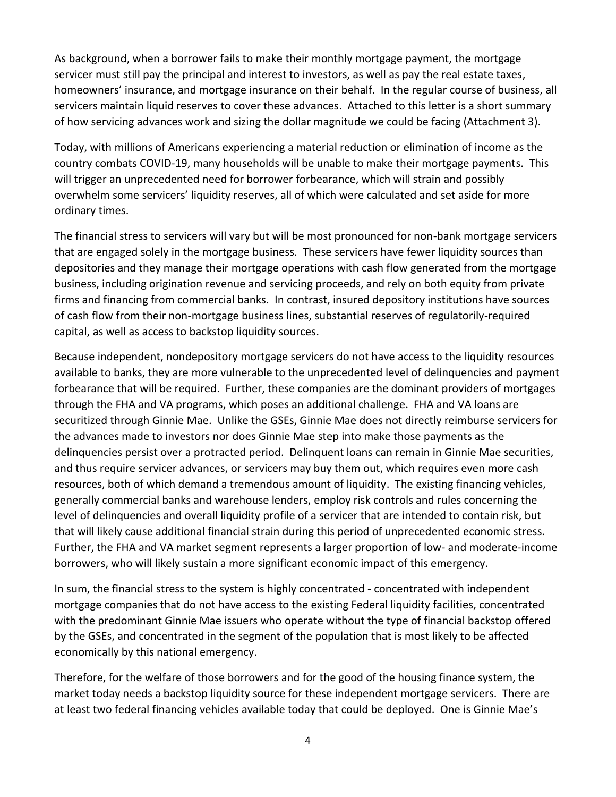As background, when a borrower fails to make their monthly mortgage payment, the mortgage servicer must still pay the principal and interest to investors, as well as pay the real estate taxes, homeowners' insurance, and mortgage insurance on their behalf. In the regular course of business, all servicers maintain liquid reserves to cover these advances. Attached to this letter is a short summary of how servicing advances work and sizing the dollar magnitude we could be facing (Attachment 3).

Today, with millions of Americans experiencing a material reduction or elimination of income as the country combats COVID-19, many households will be unable to make their mortgage payments. This will trigger an unprecedented need for borrower forbearance, which will strain and possibly overwhelm some servicers' liquidity reserves, all of which were calculated and set aside for more ordinary times.

The financial stress to servicers will vary but will be most pronounced for non-bank mortgage servicers that are engaged solely in the mortgage business. These servicers have fewer liquidity sources than depositories and they manage their mortgage operations with cash flow generated from the mortgage business, including origination revenue and servicing proceeds, and rely on both equity from private firms and financing from commercial banks. In contrast, insured depository institutions have sources of cash flow from their non-mortgage business lines, substantial reserves of regulatorily-required capital, as well as access to backstop liquidity sources.

Because independent, nondepository mortgage servicers do not have access to the liquidity resources available to banks, they are more vulnerable to the unprecedented level of delinquencies and payment forbearance that will be required. Further, these companies are the dominant providers of mortgages through the FHA and VA programs, which poses an additional challenge. FHA and VA loans are securitized through Ginnie Mae. Unlike the GSEs, Ginnie Mae does not directly reimburse servicers for the advances made to investors nor does Ginnie Mae step into make those payments as the delinquencies persist over a protracted period. Delinquent loans can remain in Ginnie Mae securities, and thus require servicer advances, or servicers may buy them out, which requires even more cash resources, both of which demand a tremendous amount of liquidity. The existing financing vehicles, generally commercial banks and warehouse lenders, employ risk controls and rules concerning the level of delinquencies and overall liquidity profile of a servicer that are intended to contain risk, but that will likely cause additional financial strain during this period of unprecedented economic stress. Further, the FHA and VA market segment represents a larger proportion of low- and moderate-income borrowers, who will likely sustain a more significant economic impact of this emergency.

In sum, the financial stress to the system is highly concentrated - concentrated with independent mortgage companies that do not have access to the existing Federal liquidity facilities, concentrated with the predominant Ginnie Mae issuers who operate without the type of financial backstop offered by the GSEs, and concentrated in the segment of the population that is most likely to be affected economically by this national emergency.

Therefore, for the welfare of those borrowers and for the good of the housing finance system, the market today needs a backstop liquidity source for these independent mortgage servicers. There are at least two federal financing vehicles available today that could be deployed. One is Ginnie Mae's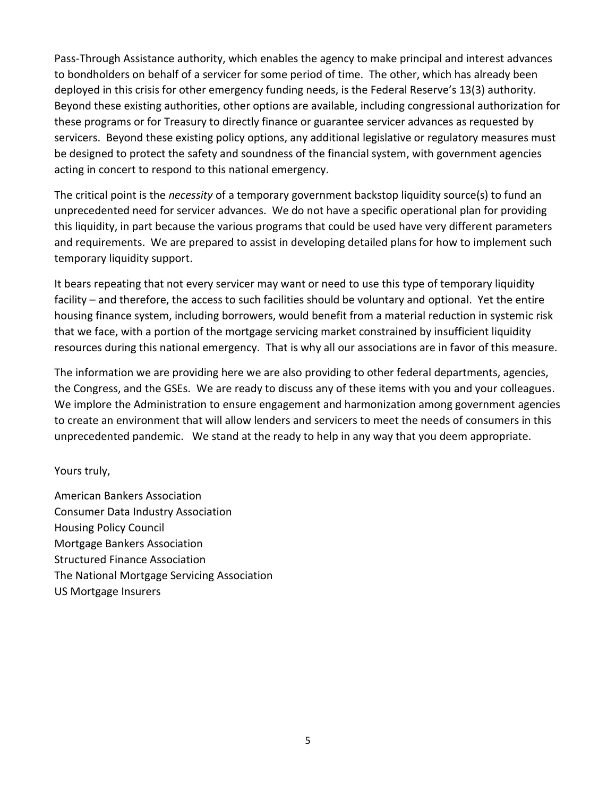Pass-Through Assistance authority, which enables the agency to make principal and interest advances to bondholders on behalf of a servicer for some period of time. The other, which has already been deployed in this crisis for other emergency funding needs, is the Federal Reserve's 13(3) authority. Beyond these existing authorities, other options are available, including congressional authorization for these programs or for Treasury to directly finance or guarantee servicer advances as requested by servicers. Beyond these existing policy options, any additional legislative or regulatory measures must be designed to protect the safety and soundness of the financial system, with government agencies acting in concert to respond to this national emergency.

The critical point is the *necessity* of a temporary government backstop liquidity source(s) to fund an unprecedented need for servicer advances. We do not have a specific operational plan for providing this liquidity, in part because the various programs that could be used have very different parameters and requirements. We are prepared to assist in developing detailed plans for how to implement such temporary liquidity support.

It bears repeating that not every servicer may want or need to use this type of temporary liquidity facility – and therefore, the access to such facilities should be voluntary and optional. Yet the entire housing finance system, including borrowers, would benefit from a material reduction in systemic risk that we face, with a portion of the mortgage servicing market constrained by insufficient liquidity resources during this national emergency. That is why all our associations are in favor of this measure.

The information we are providing here we are also providing to other federal departments, agencies, the Congress, and the GSEs. We are ready to discuss any of these items with you and your colleagues. We implore the Administration to ensure engagement and harmonization among government agencies to create an environment that will allow lenders and servicers to meet the needs of consumers in this unprecedented pandemic. We stand at the ready to help in any way that you deem appropriate.

# Yours truly,

American Bankers Association Consumer Data Industry Association Housing Policy Council Mortgage Bankers Association Structured Finance Association The National Mortgage Servicing Association US Mortgage Insurers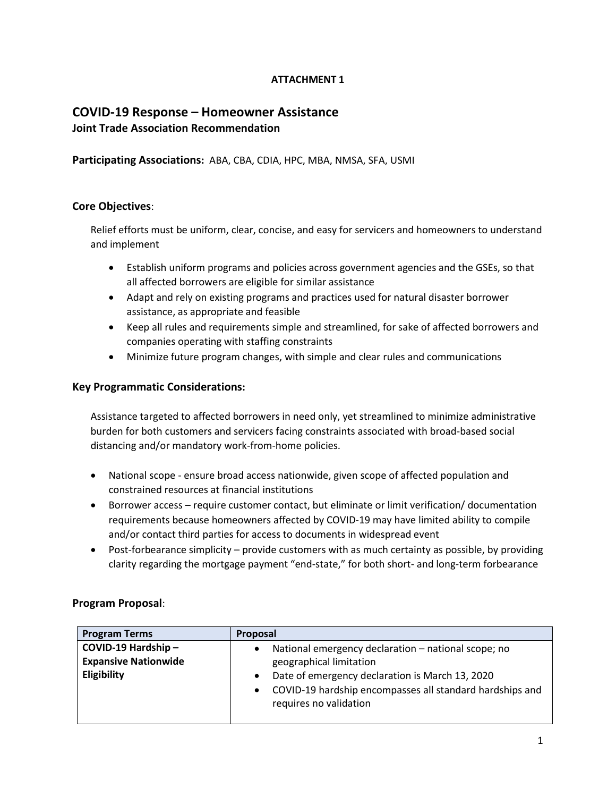# **ATTACHMENT 1**

# **COVID-19 Response – Homeowner Assistance Joint Trade Association Recommendation**

**Participating Associations:** ABA, CBA, CDIA, HPC, MBA, NMSA, SFA, USMI

### **Core Objectives**:

Relief efforts must be uniform, clear, concise, and easy for servicers and homeowners to understand and implement

- Establish uniform programs and policies across government agencies and the GSEs, so that all affected borrowers are eligible for similar assistance
- Adapt and rely on existing programs and practices used for natural disaster borrower assistance, as appropriate and feasible
- Keep all rules and requirements simple and streamlined, for sake of affected borrowers and companies operating with staffing constraints
- Minimize future program changes, with simple and clear rules and communications

### **Key Programmatic Considerations:**

Assistance targeted to affected borrowers in need only, yet streamlined to minimize administrative burden for both customers and servicers facing constraints associated with broad-based social distancing and/or mandatory work-from-home policies.

- National scope ensure broad access nationwide, given scope of affected population and constrained resources at financial institutions
- Borrower access require customer contact, but eliminate or limit verification/ documentation requirements because homeowners affected by COVID-19 may have limited ability to compile and/or contact third parties for access to documents in widespread event
- Post-forbearance simplicity provide customers with as much certainty as possible, by providing clarity regarding the mortgage payment "end-state," for both short- and long-term forbearance

### **Program Proposal**:

| <b>Program Terms</b>        | Proposal                                                                           |
|-----------------------------|------------------------------------------------------------------------------------|
| COVID-19 Hardship-          | National emergency declaration - national scope; no                                |
| <b>Expansive Nationwide</b> | geographical limitation                                                            |
| Eligibility                 | Date of emergency declaration is March 13, 2020                                    |
|                             | COVID-19 hardship encompasses all standard hardships and<br>requires no validation |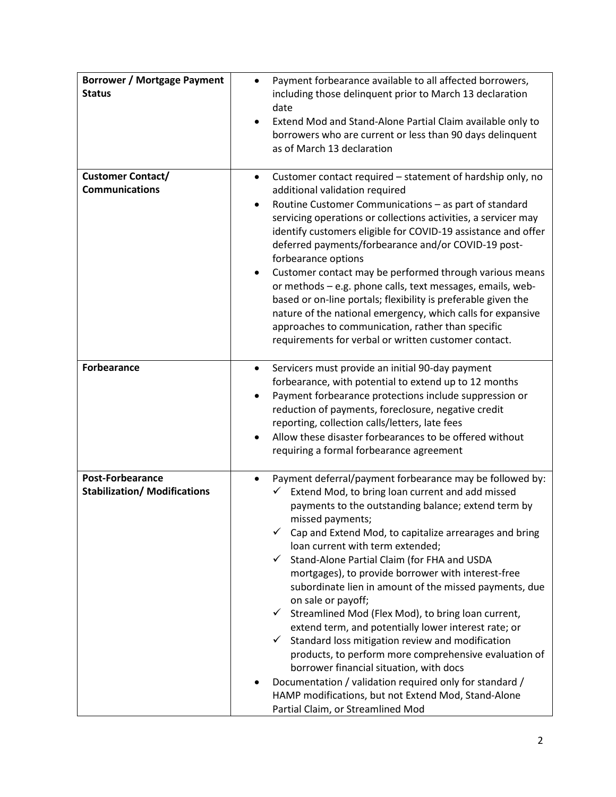| <b>Borrower / Mortgage Payment</b><br><b>Status</b>            | Payment forbearance available to all affected borrowers,<br>including those delinquent prior to March 13 declaration<br>date<br>Extend Mod and Stand-Alone Partial Claim available only to<br>borrowers who are current or less than 90 days delinquent<br>as of March 13 declaration                                                                                                                                                                                                                                                                                                                                                                                                                                                                                                                                                                                                                                                                                                          |
|----------------------------------------------------------------|------------------------------------------------------------------------------------------------------------------------------------------------------------------------------------------------------------------------------------------------------------------------------------------------------------------------------------------------------------------------------------------------------------------------------------------------------------------------------------------------------------------------------------------------------------------------------------------------------------------------------------------------------------------------------------------------------------------------------------------------------------------------------------------------------------------------------------------------------------------------------------------------------------------------------------------------------------------------------------------------|
| <b>Customer Contact/</b><br><b>Communications</b>              | Customer contact required – statement of hardship only, no<br>$\bullet$<br>additional validation required<br>Routine Customer Communications - as part of standard<br>servicing operations or collections activities, a servicer may<br>identify customers eligible for COVID-19 assistance and offer<br>deferred payments/forbearance and/or COVID-19 post-<br>forbearance options<br>Customer contact may be performed through various means<br>٠<br>or methods - e.g. phone calls, text messages, emails, web-<br>based or on-line portals; flexibility is preferable given the<br>nature of the national emergency, which calls for expansive<br>approaches to communication, rather than specific<br>requirements for verbal or written customer contact.                                                                                                                                                                                                                                 |
| Forbearance                                                    | Servicers must provide an initial 90-day payment<br>$\bullet$<br>forbearance, with potential to extend up to 12 months<br>Payment forbearance protections include suppression or<br>٠<br>reduction of payments, foreclosure, negative credit<br>reporting, collection calls/letters, late fees<br>Allow these disaster forbearances to be offered without<br>requiring a formal forbearance agreement                                                                                                                                                                                                                                                                                                                                                                                                                                                                                                                                                                                          |
| <b>Post-Forbearance</b><br><b>Stabilization/ Modifications</b> | Payment deferral/payment forbearance may be followed by:<br>$\bullet$<br>Extend Mod, to bring loan current and add missed<br>$\checkmark$<br>payments to the outstanding balance; extend term by<br>missed payments;<br>$\checkmark$ Cap and Extend Mod, to capitalize arrearages and bring<br>loan current with term extended;<br>Stand-Alone Partial Claim (for FHA and USDA<br>$\checkmark$<br>mortgages), to provide borrower with interest-free<br>subordinate lien in amount of the missed payments, due<br>on sale or payoff;<br>$\checkmark$ Streamlined Mod (Flex Mod), to bring loan current,<br>extend term, and potentially lower interest rate; or<br>Standard loss mitigation review and modification<br>$\checkmark$<br>products, to perform more comprehensive evaluation of<br>borrower financial situation, with docs<br>Documentation / validation required only for standard /<br>HAMP modifications, but not Extend Mod, Stand-Alone<br>Partial Claim, or Streamlined Mod |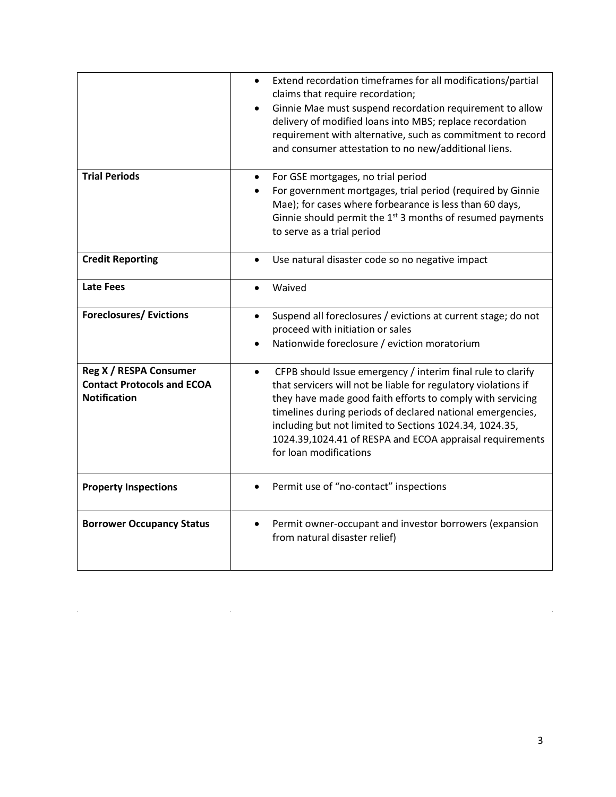|                                                                                    | Extend recordation timeframes for all modifications/partial<br>$\bullet$<br>claims that require recordation;<br>Ginnie Mae must suspend recordation requirement to allow<br>$\bullet$<br>delivery of modified loans into MBS; replace recordation<br>requirement with alternative, such as commitment to record<br>and consumer attestation to no new/additional liens.                                                 |
|------------------------------------------------------------------------------------|-------------------------------------------------------------------------------------------------------------------------------------------------------------------------------------------------------------------------------------------------------------------------------------------------------------------------------------------------------------------------------------------------------------------------|
| <b>Trial Periods</b>                                                               | For GSE mortgages, no trial period<br>For government mortgages, trial period (required by Ginnie<br>Mae); for cases where forbearance is less than 60 days,<br>Ginnie should permit the $1st$ 3 months of resumed payments<br>to serve as a trial period                                                                                                                                                                |
| <b>Credit Reporting</b>                                                            | Use natural disaster code so no negative impact<br>$\bullet$                                                                                                                                                                                                                                                                                                                                                            |
| <b>Late Fees</b>                                                                   | Waived<br>$\bullet$                                                                                                                                                                                                                                                                                                                                                                                                     |
| <b>Foreclosures/ Evictions</b>                                                     | Suspend all foreclosures / evictions at current stage; do not<br>$\bullet$<br>proceed with initiation or sales<br>Nationwide foreclosure / eviction moratorium<br>$\bullet$                                                                                                                                                                                                                                             |
| Reg X / RESPA Consumer<br><b>Contact Protocols and ECOA</b><br><b>Notification</b> | CFPB should Issue emergency / interim final rule to clarify<br>$\bullet$<br>that servicers will not be liable for regulatory violations if<br>they have made good faith efforts to comply with servicing<br>timelines during periods of declared national emergencies,<br>including but not limited to Sections 1024.34, 1024.35,<br>1024.39,1024.41 of RESPA and ECOA appraisal requirements<br>for loan modifications |
| <b>Property Inspections</b>                                                        | Permit use of "no-contact" inspections                                                                                                                                                                                                                                                                                                                                                                                  |
| <b>Borrower Occupancy Status</b>                                                   | Permit owner-occupant and investor borrowers (expansion<br>٠<br>from natural disaster relief)                                                                                                                                                                                                                                                                                                                           |

 $\frac{1}{2}$ 

 $\mathcal{L}^{\text{max}}_{\text{max}}$ 

 $\hat{\mathcal{A}}$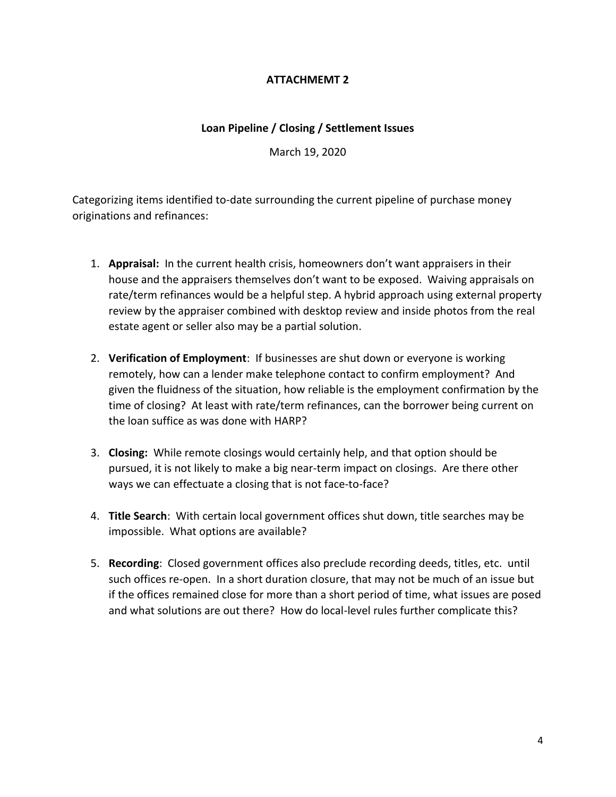# **ATTACHMEMT 2**

### **Loan Pipeline / Closing / Settlement Issues**

March 19, 2020

Categorizing items identified to-date surrounding the current pipeline of purchase money originations and refinances:

- 1. **Appraisal:** In the current health crisis, homeowners don't want appraisers in their house and the appraisers themselves don't want to be exposed. Waiving appraisals on rate/term refinances would be a helpful step. A hybrid approach using external property review by the appraiser combined with desktop review and inside photos from the real estate agent or seller also may be a partial solution.
- 2. **Verification of Employment**: If businesses are shut down or everyone is working remotely, how can a lender make telephone contact to confirm employment? And given the fluidness of the situation, how reliable is the employment confirmation by the time of closing? At least with rate/term refinances, can the borrower being current on the loan suffice as was done with HARP?
- 3. **Closing:** While remote closings would certainly help, and that option should be pursued, it is not likely to make a big near-term impact on closings. Are there other ways we can effectuate a closing that is not face-to-face?
- 4. **Title Search**: With certain local government offices shut down, title searches may be impossible. What options are available?
- 5. **Recording**: Closed government offices also preclude recording deeds, titles, etc. until such offices re-open. In a short duration closure, that may not be much of an issue but if the offices remained close for more than a short period of time, what issues are posed and what solutions are out there? How do local-level rules further complicate this?